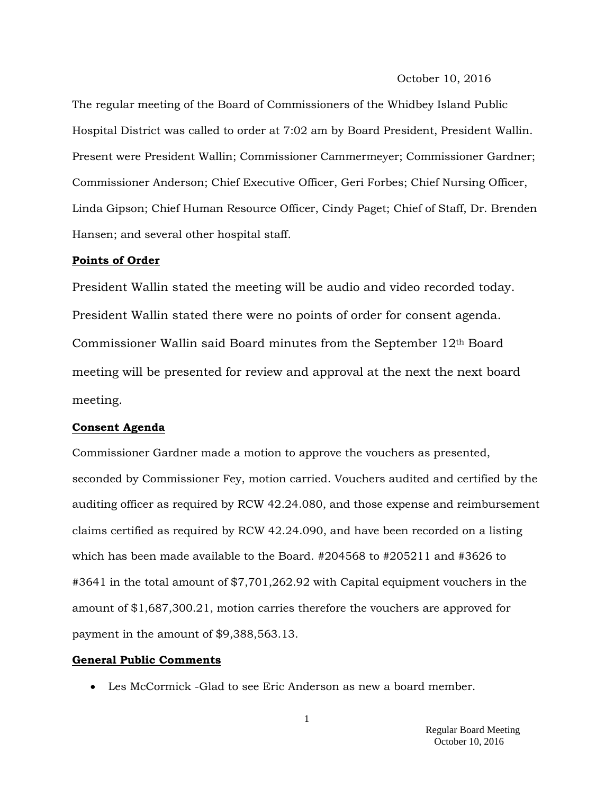#### October 10, 2016

The regular meeting of the Board of Commissioners of the Whidbey Island Public Hospital District was called to order at 7:02 am by Board President, President Wallin. Present were President Wallin; Commissioner Cammermeyer; Commissioner Gardner; Commissioner Anderson; Chief Executive Officer, Geri Forbes; Chief Nursing Officer, Linda Gipson; Chief Human Resource Officer, Cindy Paget; Chief of Staff, Dr. Brenden Hansen; and several other hospital staff.

### **Points of Order**

President Wallin stated the meeting will be audio and video recorded today. President Wallin stated there were no points of order for consent agenda. Commissioner Wallin said Board minutes from the September 12th Board meeting will be presented for review and approval at the next the next board meeting.

### **Consent Agenda**

Commissioner Gardner made a motion to approve the vouchers as presented, seconded by Commissioner Fey, motion carried. Vouchers audited and certified by the auditing officer as required by RCW 42.24.080, and those expense and reimbursement claims certified as required by RCW 42.24.090, and have been recorded on a listing which has been made available to the Board. #204568 to #205211 and #3626 to #3641 in the total amount of \$7,701,262.92 with Capital equipment vouchers in the amount of \$1,687,300.21, motion carries therefore the vouchers are approved for payment in the amount of \$9,388,563.13.

#### **General Public Comments**

Les McCormick -Glad to see Eric Anderson as new a board member.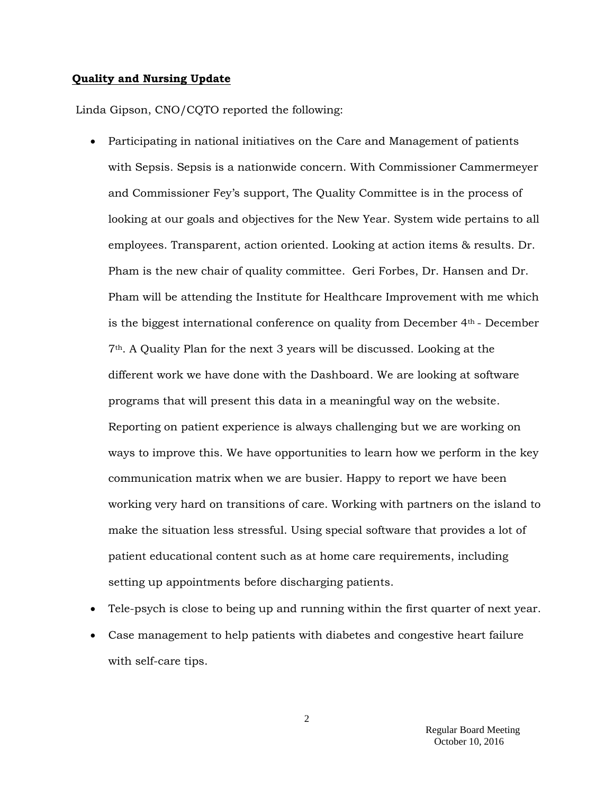### **Quality and Nursing Update**

Linda Gipson, CNO/CQTO reported the following:

- Participating in national initiatives on the Care and Management of patients with Sepsis. Sepsis is a nationwide concern. With Commissioner Cammermeyer and Commissioner Fey's support, The Quality Committee is in the process of looking at our goals and objectives for the New Year. System wide pertains to all employees. Transparent, action oriented. Looking at action items & results. Dr. Pham is the new chair of quality committee. Geri Forbes, Dr. Hansen and Dr. Pham will be attending the Institute for Healthcare Improvement with me which is the biggest international conference on quality from December  $4<sup>th</sup>$  - December 7th. A Quality Plan for the next 3 years will be discussed. Looking at the different work we have done with the Dashboard. We are looking at software programs that will present this data in a meaningful way on the website. Reporting on patient experience is always challenging but we are working on ways to improve this. We have opportunities to learn how we perform in the key communication matrix when we are busier. Happy to report we have been working very hard on transitions of care. Working with partners on the island to make the situation less stressful. Using special software that provides a lot of patient educational content such as at home care requirements, including setting up appointments before discharging patients.
- Tele-psych is close to being up and running within the first quarter of next year.
- Case management to help patients with diabetes and congestive heart failure with self-care tips.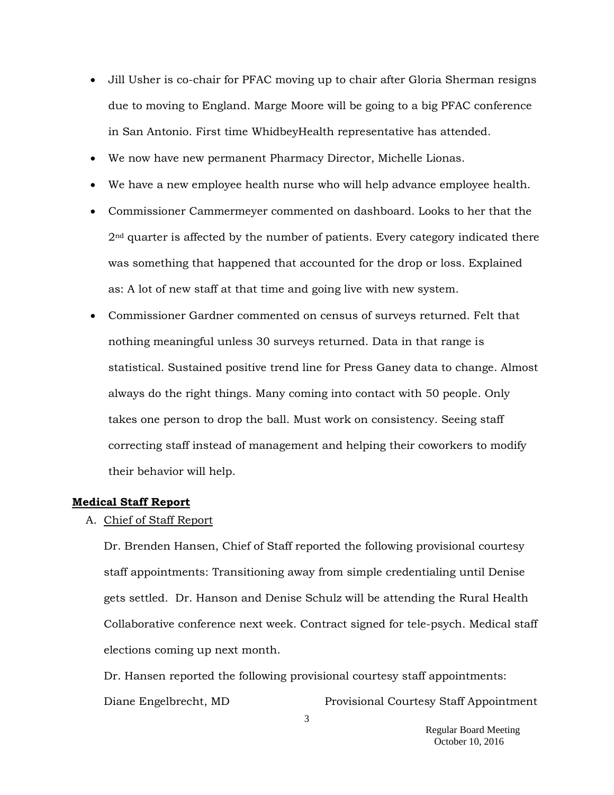- Jill Usher is co-chair for PFAC moving up to chair after Gloria Sherman resigns due to moving to England. Marge Moore will be going to a big PFAC conference in San Antonio. First time WhidbeyHealth representative has attended.
- We now have new permanent Pharmacy Director, Michelle Lionas.
- We have a new employee health nurse who will help advance employee health.
- Commissioner Cammermeyer commented on dashboard. Looks to her that the 2<sup>nd</sup> quarter is affected by the number of patients. Every category indicated there was something that happened that accounted for the drop or loss. Explained as: A lot of new staff at that time and going live with new system.
- Commissioner Gardner commented on census of surveys returned. Felt that nothing meaningful unless 30 surveys returned. Data in that range is statistical. Sustained positive trend line for Press Ganey data to change. Almost always do the right things. Many coming into contact with 50 people. Only takes one person to drop the ball. Must work on consistency. Seeing staff correcting staff instead of management and helping their coworkers to modify their behavior will help.

### **Medical Staff Report**

### A. Chief of Staff Report

Dr. Brenden Hansen, Chief of Staff reported the following provisional courtesy staff appointments: Transitioning away from simple credentialing until Denise gets settled. Dr. Hanson and Denise Schulz will be attending the Rural Health Collaborative conference next week. Contract signed for tele-psych. Medical staff elections coming up next month.

Dr. Hansen reported the following provisional courtesy staff appointments: Diane Engelbrecht, MD Provisional Courtesy Staff Appointment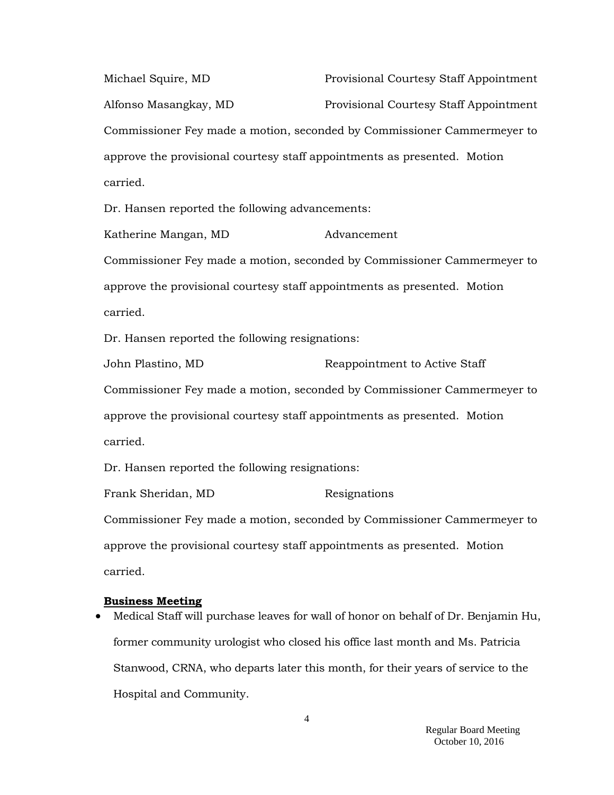Michael Squire, MD Provisional Courtesy Staff Appointment Alfonso Masangkay, MD Provisional Courtesy Staff Appointment Commissioner Fey made a motion, seconded by Commissioner Cammermeyer to approve the provisional courtesy staff appointments as presented. Motion carried.

Dr. Hansen reported the following advancements:

Katherine Mangan, MD Advancement Commissioner Fey made a motion, seconded by Commissioner Cammermeyer to approve the provisional courtesy staff appointments as presented. Motion carried.

Dr. Hansen reported the following resignations:

John Plastino, MD Reappointment to Active Staff Commissioner Fey made a motion, seconded by Commissioner Cammermeyer to approve the provisional courtesy staff appointments as presented. Motion carried.

Dr. Hansen reported the following resignations:

Frank Sheridan, MD Resignations Commissioner Fey made a motion, seconded by Commissioner Cammermeyer to approve the provisional courtesy staff appointments as presented. Motion carried.

#### **Business Meeting**

 Medical Staff will purchase leaves for wall of honor on behalf of Dr. Benjamin Hu, former community urologist who closed his office last month and Ms. Patricia Stanwood, CRNA, who departs later this month, for their years of service to the Hospital and Community.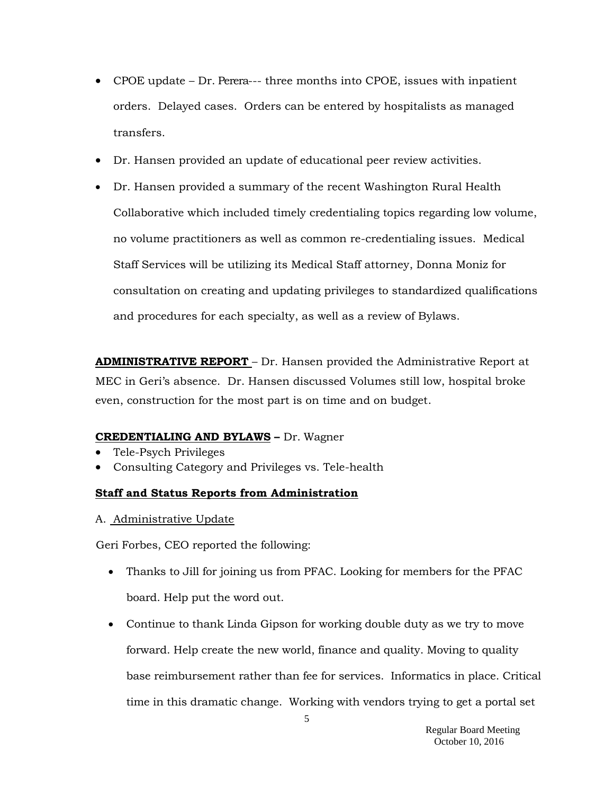- CPOE update Dr. Perera--- three months into CPOE, issues with inpatient orders. Delayed cases. Orders can be entered by hospitalists as managed transfers.
- Dr. Hansen provided an update of educational peer review activities.
- Dr. Hansen provided a summary of the recent Washington Rural Health Collaborative which included timely credentialing topics regarding low volume, no volume practitioners as well as common re-credentialing issues. Medical Staff Services will be utilizing its Medical Staff attorney, Donna Moniz for consultation on creating and updating privileges to standardized qualifications and procedures for each specialty, as well as a review of Bylaws.

**ADMINISTRATIVE REPORT** – Dr. Hansen provided the Administrative Report at MEC in Geri's absence. Dr. Hansen discussed Volumes still low, hospital broke even, construction for the most part is on time and on budget.

# **CREDENTIALING AND BYLAWS –** Dr. Wagner

- Tele-Psych Privileges
- Consulting Category and Privileges vs. Tele-health

# **Staff and Status Reports from Administration**

A. Administrative Update

Geri Forbes, CEO reported the following:

- Thanks to Jill for joining us from PFAC. Looking for members for the PFAC board. Help put the word out.
- Continue to thank Linda Gipson for working double duty as we try to move forward. Help create the new world, finance and quality. Moving to quality base reimbursement rather than fee for services. Informatics in place. Critical time in this dramatic change. Working with vendors trying to get a portal set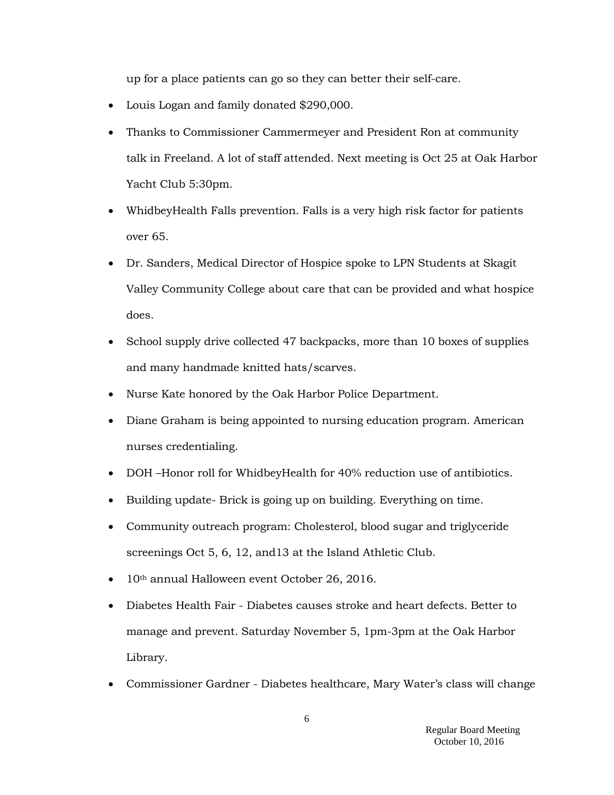up for a place patients can go so they can better their self-care.

- Louis Logan and family donated \$290,000.
- Thanks to Commissioner Cammermeyer and President Ron at community talk in Freeland. A lot of staff attended. Next meeting is Oct 25 at Oak Harbor Yacht Club 5:30pm.
- WhidbeyHealth Falls prevention. Falls is a very high risk factor for patients over 65.
- Dr. Sanders, Medical Director of Hospice spoke to LPN Students at Skagit Valley Community College about care that can be provided and what hospice does.
- School supply drive collected 47 backpacks, more than 10 boxes of supplies and many handmade knitted hats/scarves.
- Nurse Kate honored by the Oak Harbor Police Department.
- Diane Graham is being appointed to nursing education program. American nurses credentialing.
- DOH –Honor roll for WhidbeyHealth for 40% reduction use of antibiotics.
- Building update- Brick is going up on building. Everything on time.
- Community outreach program: Cholesterol, blood sugar and triglyceride screenings Oct 5, 6, 12, and13 at the Island Athletic Club.
- 10<sup>th</sup> annual Halloween event October 26, 2016.
- Diabetes Health Fair Diabetes causes stroke and heart defects. Better to manage and prevent. Saturday November 5, 1pm-3pm at the Oak Harbor Library.
- Commissioner Gardner Diabetes healthcare, Mary Water's class will change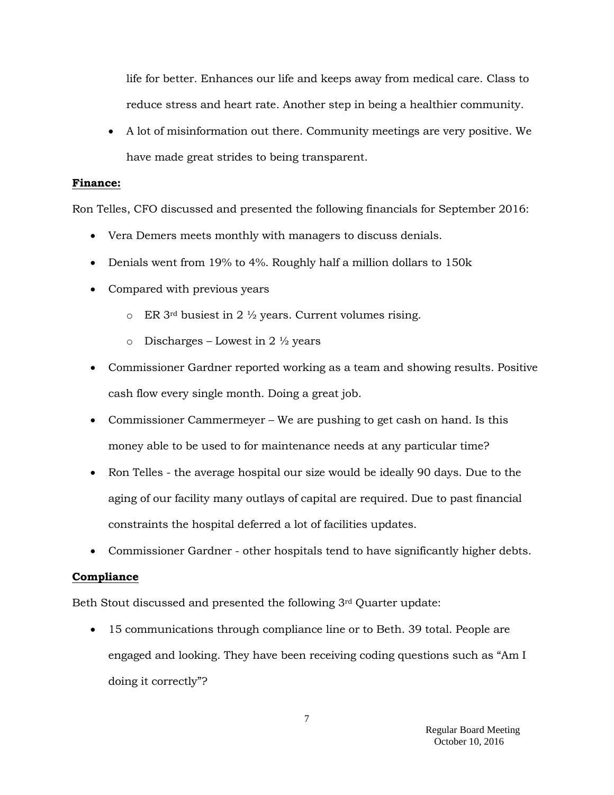life for better. Enhances our life and keeps away from medical care. Class to reduce stress and heart rate. Another step in being a healthier community.

 A lot of misinformation out there. Community meetings are very positive. We have made great strides to being transparent.

### **Finance:**

Ron Telles, CFO discussed and presented the following financials for September 2016:

- Vera Demers meets monthly with managers to discuss denials.
- Denials went from 19% to 4%. Roughly half a million dollars to 150 k
- Compared with previous years
	- $\circ$  ER 3<sup>rd</sup> busiest in 2 <sup>1</sup>/<sub>2</sub> years. Current volumes rising.
	- o Discharges Lowest in  $2 \frac{1}{2}$  years
- Commissioner Gardner reported working as a team and showing results. Positive cash flow every single month. Doing a great job.
- Commissioner Cammermeyer We are pushing to get cash on hand. Is this money able to be used to for maintenance needs at any particular time?
- Ron Telles the average hospital our size would be ideally 90 days. Due to the aging of our facility many outlays of capital are required. Due to past financial constraints the hospital deferred a lot of facilities updates.
- Commissioner Gardner other hospitals tend to have significantly higher debts.

### **Compliance**

Beth Stout discussed and presented the following 3rd Quarter update:

• 15 communications through compliance line or to Beth. 39 total. People are engaged and looking. They have been receiving coding questions such as "Am I doing it correctly"?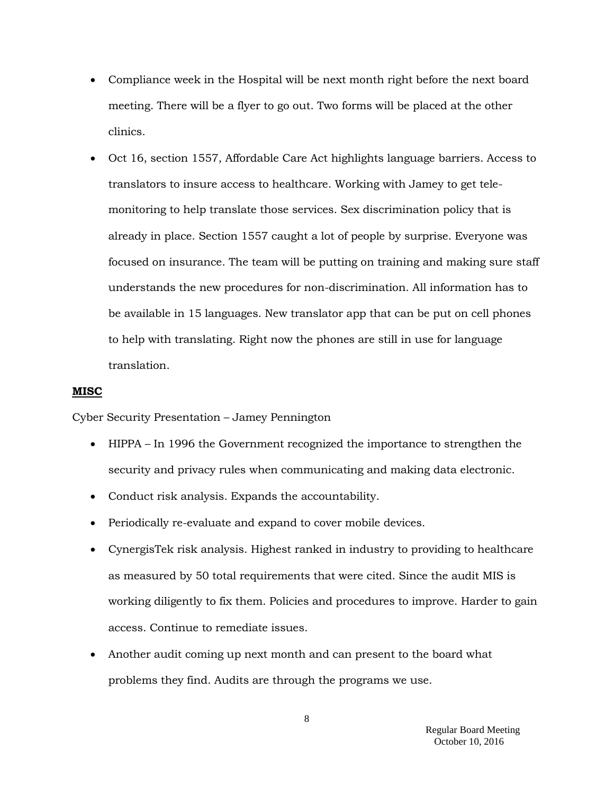- Compliance week in the Hospital will be next month right before the next board meeting. There will be a flyer to go out. Two forms will be placed at the other clinics.
- Oct 16, section 1557, Affordable Care Act highlights language barriers. Access to translators to insure access to healthcare. Working with Jamey to get telemonitoring to help translate those services. Sex discrimination policy that is already in place. Section 1557 caught a lot of people by surprise. Everyone was focused on insurance. The team will be putting on training and making sure staff understands the new procedures for non-discrimination. All information has to be available in 15 languages. New translator app that can be put on cell phones to help with translating. Right now the phones are still in use for language translation.

### **MISC**

Cyber Security Presentation – Jamey Pennington

- HIPPA In 1996 the Government recognized the importance to strengthen the security and privacy rules when communicating and making data electronic.
- Conduct risk analysis. Expands the accountability.
- Periodically re-evaluate and expand to cover mobile devices.
- CynergisTek risk analysis. Highest ranked in industry to providing to healthcare as measured by 50 total requirements that were cited. Since the audit MIS is working diligently to fix them. Policies and procedures to improve. Harder to gain access. Continue to remediate issues.
- Another audit coming up next month and can present to the board what problems they find. Audits are through the programs we use.